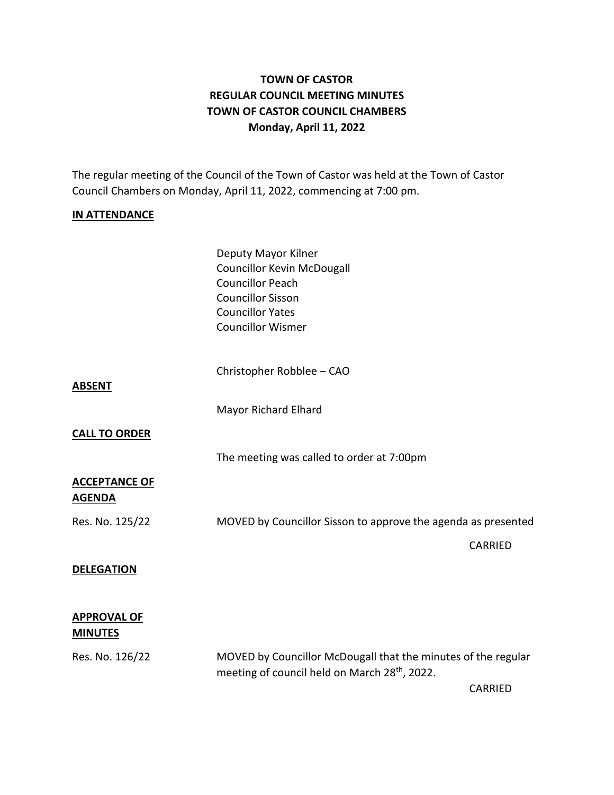# **TOWN OF CASTOR REGULAR COUNCIL MEETING MINUTES TOWN OF CASTOR COUNCIL CHAMBERS Monday, April 11, 2022**

The regular meeting of the Council of the Town of Castor was held at the Town of Castor Council Chambers on Monday, April 11, 2022, commencing at 7:00 pm.

#### **IN ATTENDANCE**

|                                       | Deputy Mayor Kilner<br><b>Councillor Kevin McDougall</b><br><b>Councillor Peach</b><br><b>Councillor Sisson</b><br><b>Councillor Yates</b><br><b>Councillor Wismer</b> |                                                               |  |
|---------------------------------------|------------------------------------------------------------------------------------------------------------------------------------------------------------------------|---------------------------------------------------------------|--|
| <b>ABSENT</b>                         | Christopher Robblee - CAO                                                                                                                                              |                                                               |  |
|                                       | Mayor Richard Elhard                                                                                                                                                   |                                                               |  |
| <b>CALL TO ORDER</b>                  |                                                                                                                                                                        |                                                               |  |
|                                       | The meeting was called to order at 7:00pm                                                                                                                              |                                                               |  |
| <b>ACCEPTANCE OF</b><br><b>AGENDA</b> |                                                                                                                                                                        |                                                               |  |
| Res. No. 125/22                       |                                                                                                                                                                        | MOVED by Councillor Sisson to approve the agenda as presented |  |
|                                       |                                                                                                                                                                        | <b>CARRIED</b>                                                |  |
| <b>DELEGATION</b>                     |                                                                                                                                                                        |                                                               |  |
| <b>APPROVAL OF</b><br><b>MINUTES</b>  |                                                                                                                                                                        |                                                               |  |
| Res. No. 126/22                       | MOVED by Councillor McDougall that the minutes of the regular<br>meeting of council held on March 28th, 2022.                                                          |                                                               |  |
|                                       |                                                                                                                                                                        | CARRIED                                                       |  |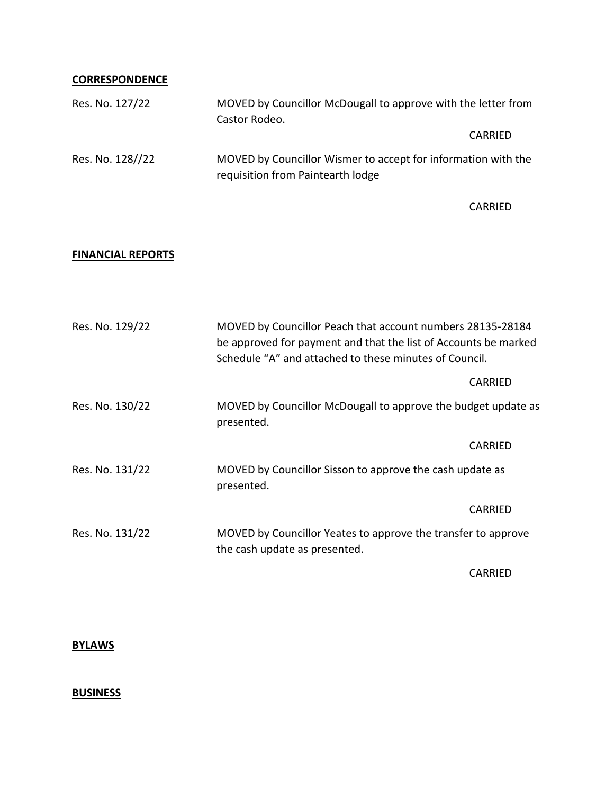### **CORRESPONDENCE**

| Res. No. 127/22  | MOVED by Councillor McDougall to approve with the letter from<br>Castor Rodeo.                     |  |
|------------------|----------------------------------------------------------------------------------------------------|--|
|                  | CARRIED                                                                                            |  |
| Res. No. 128//22 | MOVED by Councillor Wismer to accept for information with the<br>requisition from Paintearth lodge |  |

CARRIED

### **FINANCIAL REPORTS**

| Res. No. 129/22 | MOVED by Councillor Peach that account numbers 28135-28184<br>be approved for payment and that the list of Accounts be marked<br>Schedule "A" and attached to these minutes of Council. |         |
|-----------------|-----------------------------------------------------------------------------------------------------------------------------------------------------------------------------------------|---------|
|                 |                                                                                                                                                                                         | CARRIED |
| Res. No. 130/22 | MOVED by Councillor McDougall to approve the budget update as<br>presented.                                                                                                             |         |
|                 |                                                                                                                                                                                         | CARRIED |
| Res. No. 131/22 | MOVED by Councillor Sisson to approve the cash update as<br>presented.                                                                                                                  |         |
|                 |                                                                                                                                                                                         | CARRIED |
| Res. No. 131/22 | MOVED by Councillor Yeates to approve the transfer to approve<br>the cash update as presented.                                                                                          |         |
|                 |                                                                                                                                                                                         | CARRIED |

**BYLAWS**

## **BUSINESS**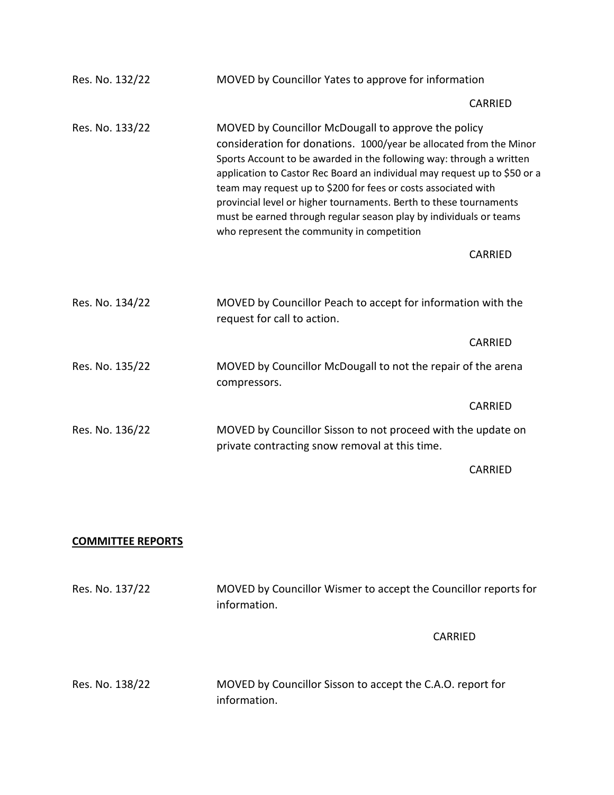| Res. No. 132/22 | MOVED by Councillor Yates to approve for information                                                                                                                                                                                                                                                                                                                                                                                                                                                                                       |                |
|-----------------|--------------------------------------------------------------------------------------------------------------------------------------------------------------------------------------------------------------------------------------------------------------------------------------------------------------------------------------------------------------------------------------------------------------------------------------------------------------------------------------------------------------------------------------------|----------------|
|                 |                                                                                                                                                                                                                                                                                                                                                                                                                                                                                                                                            | CARRIED        |
| Res. No. 133/22 | MOVED by Councillor McDougall to approve the policy<br>consideration for donations. 1000/year be allocated from the Minor<br>Sports Account to be awarded in the following way: through a written<br>application to Castor Rec Board an individual may request up to \$50 or a<br>team may request up to \$200 for fees or costs associated with<br>provincial level or higher tournaments. Berth to these tournaments<br>must be earned through regular season play by individuals or teams<br>who represent the community in competition |                |
|                 |                                                                                                                                                                                                                                                                                                                                                                                                                                                                                                                                            | CARRIED        |
| Res. No. 134/22 | MOVED by Councillor Peach to accept for information with the<br>request for call to action.                                                                                                                                                                                                                                                                                                                                                                                                                                                |                |
|                 |                                                                                                                                                                                                                                                                                                                                                                                                                                                                                                                                            | CARRIED        |
| Res. No. 135/22 | MOVED by Councillor McDougall to not the repair of the arena<br>compressors.                                                                                                                                                                                                                                                                                                                                                                                                                                                               |                |
|                 |                                                                                                                                                                                                                                                                                                                                                                                                                                                                                                                                            | CARRIED        |
| Res. No. 136/22 | MOVED by Councillor Sisson to not proceed with the update on<br>private contracting snow removal at this time.                                                                                                                                                                                                                                                                                                                                                                                                                             |                |
|                 |                                                                                                                                                                                                                                                                                                                                                                                                                                                                                                                                            | <b>CARRIED</b> |

#### **COMMITTEE REPORTS**

Res. No. 137/22 MOVED by Councillor Wismer to accept the Councillor reports for information.

CARRIED

Res. No. 138/22 MOVED by Councillor Sisson to accept the C.A.O. report for information.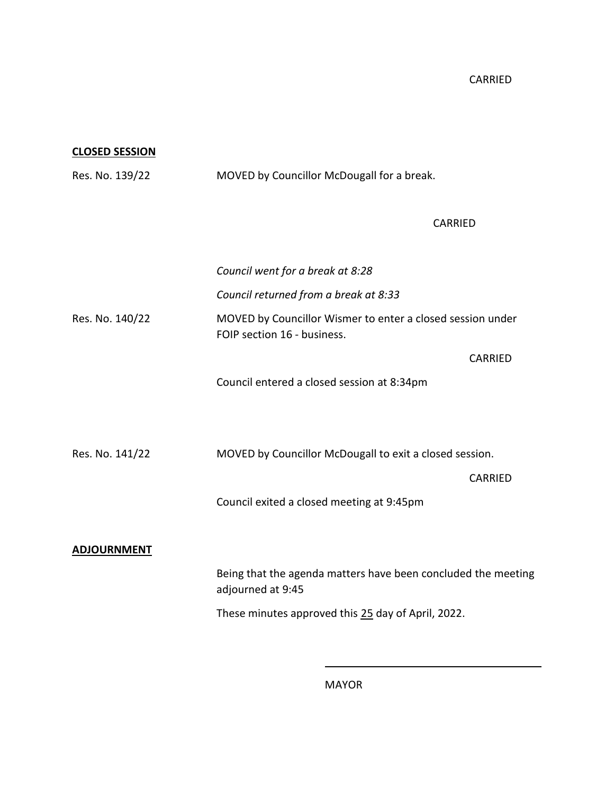CARRIED

**CLOSED SESSION**

| MOVED by Councillor McDougall for a break.                                                |                |
|-------------------------------------------------------------------------------------------|----------------|
| <b>CARRIED</b>                                                                            |                |
| Council went for a break at 8:28                                                          |                |
| Council returned from a break at 8:33                                                     |                |
| MOVED by Councillor Wismer to enter a closed session under<br>FOIP section 16 - business. |                |
|                                                                                           | <b>CARRIED</b> |
| Council entered a closed session at 8:34pm                                                |                |
|                                                                                           |                |
| MOVED by Councillor McDougall to exit a closed session.                                   |                |
|                                                                                           | CARRIED        |
| Council exited a closed meeting at 9:45pm                                                 |                |
|                                                                                           |                |
|                                                                                           |                |
| Being that the agenda matters have been concluded the meeting<br>adjourned at 9:45        |                |
| These minutes approved this 25 day of April, 2022.                                        |                |
|                                                                                           |                |

MAYOR